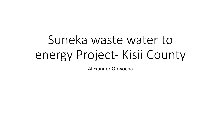# Suneka waste water to energy Project- Kisii County

Alexander Obwocha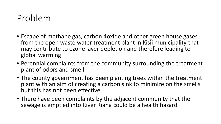# Problem

- Escape of methane gas, carbon 4oxide and other green house gases from the open waste water treatment plant in Kisii municipality that may contribute to ozone layer depletion and therefore leading to global warming
- Perennial complaints from the community surrounding the treatment plant of odors and smell.
- The county government has been planting trees within the treatment plant with an aim of creating a carbon sink to minimize on the smells but this has not been effective.
- There have been complaints by the adjacent community that the sewage is emptied into River Riana could be a health hazard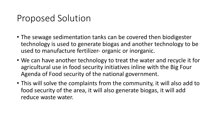# Proposed Solution

- The sewage sedimentation tanks can be covered then biodigester technology is used to generate biogas and another technology to be used to manufacture fertilizer- organic or inorganic.
- We can have another technology to treat the water and recycle it for agricultural use in food security initiatives inline with the Big Four Agenda of Food security of the national government.
- This will solve the complaints from the community, it will also add to food security of the area, it will also generate biogas, it will add reduce waste water.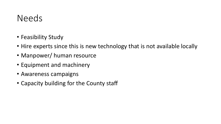### Needs

- Feasibility Study
- Hire experts since this is new technology that is not available locally
- Manpower/ human resource
- Equipment and machinery
- Awareness campaigns
- Capacity building for the County staff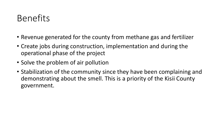# Benefits

- Revenue generated for the county from methane gas and fertilizer
- Create jobs during construction, implementation and during the operational phase of the project
- Solve the problem of air pollution
- Stabilization of the community since they have been complaining and demonstrating about the smell. This is a priority of the Kisii County government.